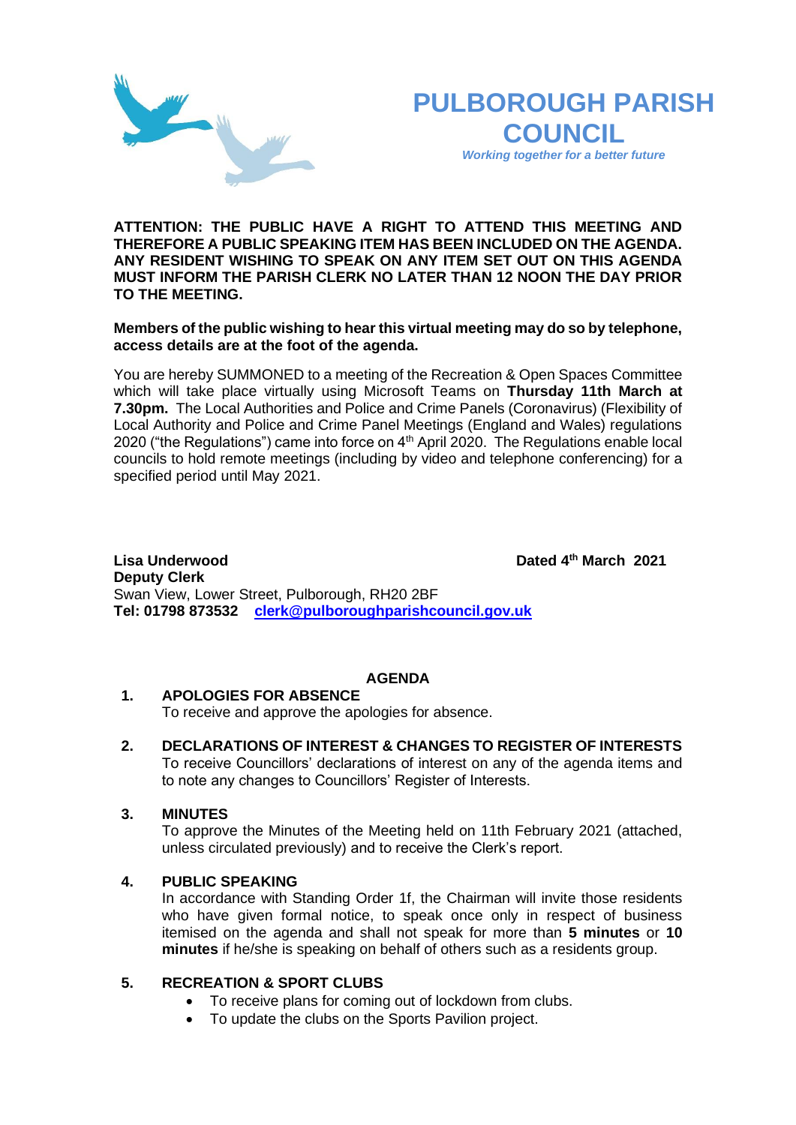



*Working together for a better future*

**ATTENTION: THE PUBLIC HAVE A RIGHT TO ATTEND THIS MEETING AND THEREFORE A PUBLIC SPEAKING ITEM HAS BEEN INCLUDED ON THE AGENDA. ANY RESIDENT WISHING TO SPEAK ON ANY ITEM SET OUT ON THIS AGENDA MUST INFORM THE PARISH CLERK NO LATER THAN 12 NOON THE DAY PRIOR TO THE MEETING.**

**Members of the public wishing to hear this virtual meeting may do so by telephone, access details are at the foot of the agenda.**

You are hereby SUMMONED to a meeting of the Recreation & Open Spaces Committee which will take place virtually using Microsoft Teams on **Thursday 11th March at 7.30pm.** The Local Authorities and Police and Crime Panels (Coronavirus) (Flexibility of Local Authority and Police and Crime Panel Meetings (England and Wales) regulations 2020 ("the Regulations") came into force on 4<sup>th</sup> April 2020. The Regulations enable local councils to hold remote meetings (including by video and telephone conferencing) for a specified period until May 2021.

**Lisa Underwood th March 2021 Deputy Clerk**  Swan View, Lower Street, Pulborough, RH20 2BF **Tel: 01798 873532 [clerk@pulboroughparishcouncil.gov.uk](mailto:clerk@pulboroughparishcouncil.gov.uk)**

## **AGENDA**

## **1. APOLOGIES FOR ABSENCE**

To receive and approve the apologies for absence.

**2. DECLARATIONS OF INTEREST & CHANGES TO REGISTER OF INTERESTS** To receive Councillors' declarations of interest on any of the agenda items and to note any changes to Councillors' Register of Interests.

#### **3. MINUTES**

To approve the Minutes of the Meeting held on 11th February 2021 (attached, unless circulated previously) and to receive the Clerk's report.

#### **4. PUBLIC SPEAKING**

In accordance with Standing Order 1f, the Chairman will invite those residents who have given formal notice, to speak once only in respect of business itemised on the agenda and shall not speak for more than **5 minutes** or **10 minutes** if he/she is speaking on behalf of others such as a residents group.

### **5. RECREATION & SPORT CLUBS**

- To receive plans for coming out of lockdown from clubs.
- To update the clubs on the Sports Pavilion project.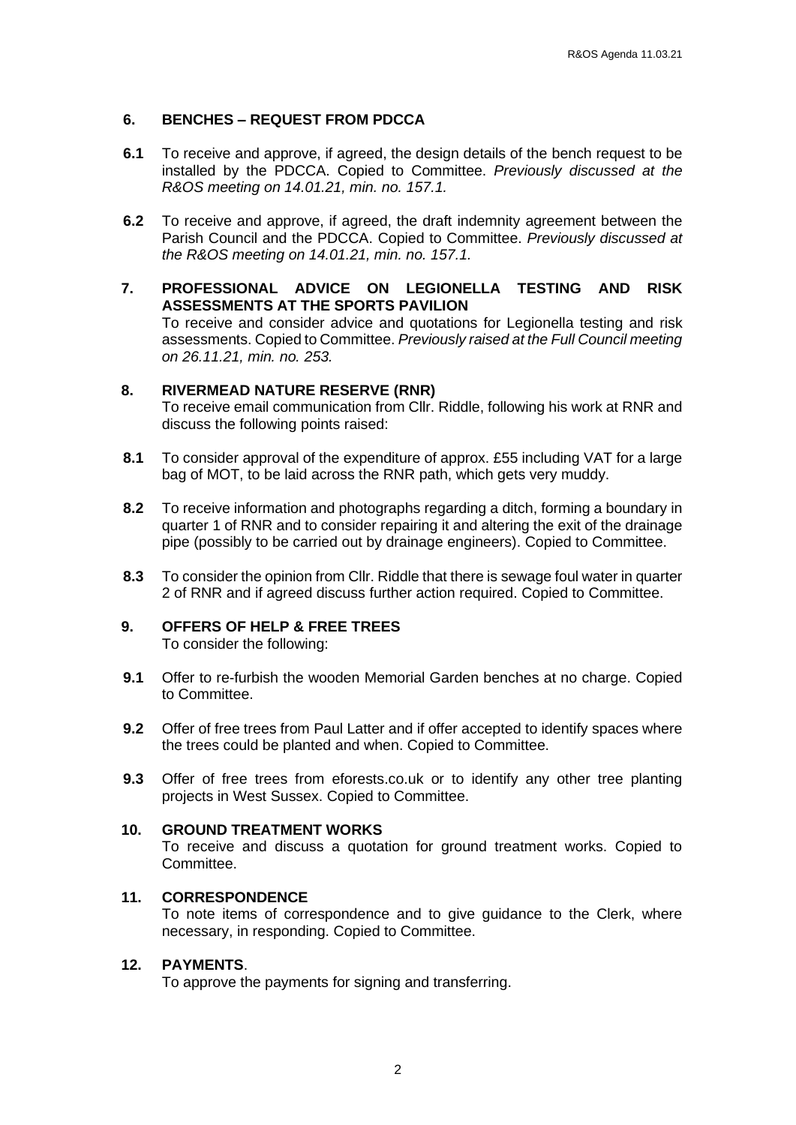## **6. BENCHES – REQUEST FROM PDCCA**

- **6.1** To receive and approve, if agreed, the design details of the bench request to be installed by the PDCCA. Copied to Committee. *Previously discussed at the R&OS meeting on 14.01.21, min. no. 157.1.*
- **6.2** To receive and approve, if agreed, the draft indemnity agreement between the Parish Council and the PDCCA. Copied to Committee. *Previously discussed at the R&OS meeting on 14.01.21, min. no. 157.1.*
- **7. PROFESSIONAL ADVICE ON LEGIONELLA TESTING AND RISK ASSESSMENTS AT THE SPORTS PAVILION**

To receive and consider advice and quotations for Legionella testing and risk assessments. Copied to Committee. *Previously raised at the Full Council meeting on 26.11.21, min. no. 253.*

## **8. RIVERMEAD NATURE RESERVE (RNR)**

To receive email communication from Cllr. Riddle, following his work at RNR and discuss the following points raised:

- **8.1** To consider approval of the expenditure of approx. £55 including VAT for a large bag of MOT, to be laid across the RNR path, which gets very muddy.
- **8.2** To receive information and photographs regarding a ditch, forming a boundary in quarter 1 of RNR and to consider repairing it and altering the exit of the drainage pipe (possibly to be carried out by drainage engineers). Copied to Committee.
- **8.3** To consider the opinion from Cllr. Riddle that there is sewage foul water in quarter 2 of RNR and if agreed discuss further action required. Copied to Committee.

# **9. OFFERS OF HELP & FREE TREES**

To consider the following:

- **9.1** Offer to re-furbish the wooden Memorial Garden benches at no charge. Copied to Committee.
- **9.2** Offer of free trees from Paul Latter and if offer accepted to identify spaces where the trees could be planted and when. Copied to Committee.
- **9.3** Offer of free trees from eforests.co.uk or to identify any other tree planting projects in West Sussex. Copied to Committee.

#### **10. GROUND TREATMENT WORKS**

To receive and discuss a quotation for ground treatment works. Copied to Committee.

## **11. CORRESPONDENCE**

To note items of correspondence and to give guidance to the Clerk, where necessary, in responding. Copied to Committee.

#### **12. PAYMENTS**.

To approve the payments for signing and transferring.